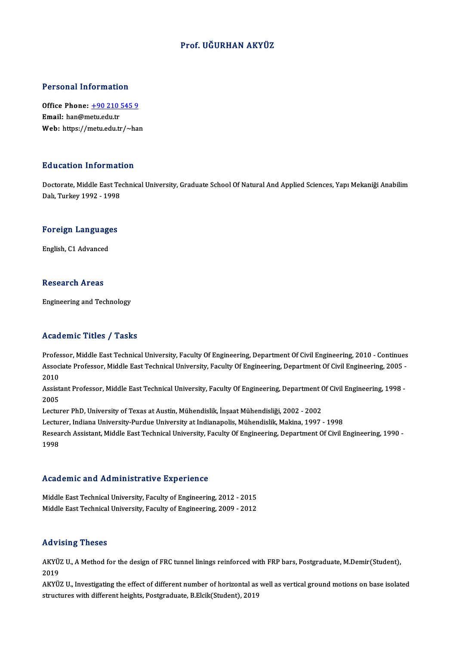### Prof. UĞURHAN AKYÜZ

#### Personal Information

Personal Information<br>Office Phone: <u>+90 210 545 9</u><br>Email: ban@metu.edu.tr office Phone: <u>+90 210</u><br>Email: han@metu.edu.tr<br>Web: https://metu.edu.tr Email: han@metu.edu.tr<br>Web: https://[metu.edu.tr/~ha](tel:+90 210 545 9)n

#### Education Information

Doctorate, Middle East Technical University, Graduate School Of Natural And Applied Sciences, Yapı Mekaniği Anabilim Dalı, Turkey 1992 - 1998

## <sub>Dall, Turkey 1992 - 1998</sub><br>Foreign Languages <mark>Foreign Languag</mark>e<br>English, C1 Advanced

English, C1 Advanced<br>Research Areas

Engineering and Technology

#### Academic Titles / Tasks

Professor, Middle East Technical University, Faculty Of Engineering, Department Of Civil Engineering, 2010 - Continues AssociateMice Profes / Profes<br>Professor, Middle East Technical University, Faculty Of Engineering, Department Of Civil Engineering, 2010 - Continues<br>Associate Professor, Middle East Technical University, Faculty Of Enginee Profes<br>Assoc<br>2010<br>Assist Associate Professor, Middle East Technical University, Faculty Of Engineering, Department Of Civil Engineering, 2005 -<br>2010<br>Assistant Professor, Middle East Technical University, Faculty Of Engineering, Department Of Civil

2010<br>Assist<br>2005<br>Lectur Assistant Professor, Middle East Technical University, Faculty Of Engineering, Department (<br>2005<br>Lecturer PhD, University of Texas at Austin, Mühendislik, İnşaat Mühendisliği, 2002 - 2002<br>Lecturer Indiana University Burdue 2005<br>Lecturer PhD, University of Texas at Austin, Mühendislik, İnşaat Mühendisliği, 2002 - 2002<br>Lecturer, Indiana University-Purdue University at Indianapolis, Mühendislik, Makina, 1997 - 1998<br>Researsh Assistant, Middle Fe

Lecturer PhD, University of Texas at Austin, Mühendislik, İnşaat Mühendisliği, 2002 - 2002<br>Lecturer, Indiana University-Purdue University at Indianapolis, Mühendislik, Makina, 1997 - 1998<br>Research Assistant, Middle East Te Lectui<br>Resea<br>1998

#### Academic and Administrative Experience

Academic and Administrative Experience<br>Middle East Technical University, Faculty of Engineering, 2012 - 2015<br>Middle Fast Technical University, Faculty of Engineering, 2009 - 2012 Middle East Technical University, Faculty of Engineering, 2012 - 2015<br>Middle East Technical University, Faculty of Engineering, 2009 - 2012<br>Middle East Technical University, Faculty of Engineering, 2009 - 2012 Middle East Technical University, Faculty of Engineering, 2009 - 2012<br>Advising Theses

Advising Theses<br>AKYÜZ U., A Method for the design of FRC tunnel linings reinforced with FRP bars, Postgraduate, M.Demir(Student),<br>2019 یر ۱۳<br>2019<br>2019 می AKYÜZ U., A Method for the design of FRC tunnel linings reinforced with FRP bars, Postgraduate, M.Demir(Student),<br>2019<br>AKYÜZ U., Investigating the effect of different number of horizontal as well as vertical ground motions

2019<br>AKYÜZ U., Investigating the effect of different number of horizontal as well as vertical ground motions on base isolated<br>structures with different heights, Postgraduate, B.Elcik(Student), 2019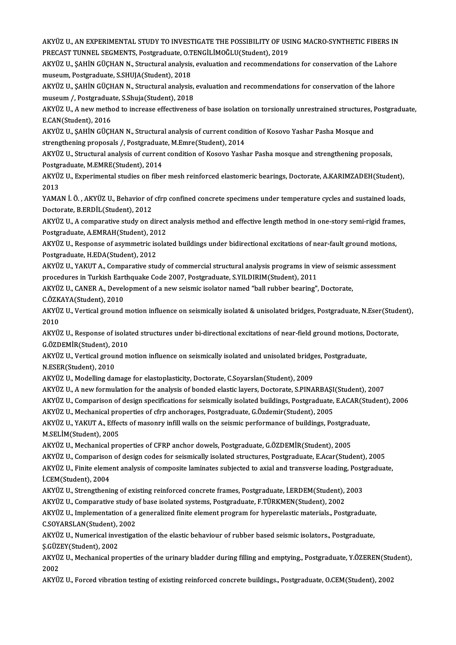AKYÜZ U., AN EXPERIMENTAL STUDY TO INVESTIGATE THE POSSIBILITY OF USING MACRO-SYNTHETIC FIBERS IN<br>PRECAST TINNEL SECMENTS, Bostandinate O TENCU IMOČLU(Student), 2019 AKYÜZ U., AN EXPERIMENTAL STUDY TO INVESTIGATE THE POSSIBILITY OF US.<br>PRECAST TUNNEL SEGMENTS, Postgraduate, O.TENGİLİMOĞLU(Student), 2019<br>AKYÜZ U. SAHİN CÜCHAN N. Strugtural analysis, avaluation and nasammandatis AKYÜZ U., AN EXPERIMENTAL STUDY TO INVESTIGATE THE POSSIBILITY OF USING MACRO-SYNTHETIC FIBERS IN<br>PRECAST TUNNEL SEGMENTS, Postgraduate, O.TENGİLİMOĞLU(Student), 2019<br>AKYÜZ U., ŞAHİN GÜÇHAN N., Structural analysis, evaluat

PRECAST TUNNEL SEGMENTS, Postgraduate, O.TENGİLİMOĞLU(Student), 2019<br>AKYÜZ U., ŞAHİN GÜÇHAN N., Structural analysis, evaluation and recommendati<br>museum, Postgraduate, S.SHUJA(Student), 2018 AKYÜZ U., ŞAHİN GÜÇHAN N., Structural analysis, evaluation and recommendations for conservation of the Lahore<br>museum, Postgraduate, S.SHUJA(Student), 2018<br>AKYÜZ U., ŞAHİN GÜÇHAN N., Structural analysis, evaluation and reco

AKYÜZ U., ŞAHİN GÜÇHAN N., Structural analysis, evaluation and recommendations for conservation of the lahore AKYÜZ U., ŞAHİN GÜÇHAN N., Structural analysis, evaluation and recommendations for conservation of the lahore<br>museum /, Postgraduate, S.Shuja(Student), 2018<br>AKYÜZ U., A new method to increase effectiveness of base isolatio

museum /, Postgradua<br>AKYÜZ U., A new metho<br>E.CAN(Student), 2016<br>AKYÜZ U. SAHİN GÜCE AKYÜZ U., A new method to increase effectiveness of base isolation on torsionally unrestrained structures, F<br>E.CAN(Student), 2016<br>AKYÜZ U., ŞAHİN GÜÇHAN N., Structural analysis of current condition of Kosovo Yashar Pasha M

E.CAN(Student), 2016<br>AKYÜZ U., ŞAHİN GÜÇHAN N., Structural analysis of current condit<br>strengthening proposals /, Postgraduate, M.Emre(Student), 2014<br>AKYÜZ U., Structural analysis of current condition of Kosovo Yosh AKYÜZ U., ŞAHİN GÜÇHAN N., Structural analysis of current condition of Kosovo Yashar Pasha Mosque and<br>strengthening proposals /, Postgraduate, M.Emre(Student), 2014<br>AKYÜZ U., Structural analysis of current condition of Kos

strengthening proposals /, Postgraduat<br>AKYÜZ U., Structural analysis of current<br>Postgraduate, M.EMRE(Student), 2014<br>AKYÜZ II. Evnorimental studies on fiber AKYÜZ U., Structural analysis of current condition of Kosovo Yashar Pasha mosque and strengthening proposals,<br>Postgraduate, M.EMRE(Student), 2014<br>AKYÜZ U., Experimental studies on fiber mesh reinforced elastomeric bearings

Postgi<br>AKYÜ.<br>2013 AKYÜZ U., Experimental studies on fiber mesh reinforced elastomeric bearings, Doctorate, A.KARIMZADEH(Student),<br>2013<br>YAMAN İ. Ö. , AKYÜZ U., Behavior of cfrp confined concrete specimens under temperature cycles and sustain

2013<br>YAMAN İ. Ö. , AKYÜZ U., Behavior of<br>Doctorate, B.ERDİL(Student), 2012<br>AKYÜZ U. A semparative study en d YAMAN İ. Ö. , AKYÜZ U., Behavior of cfrp confined concrete specimens under temperature cycles and sustained loads,<br>Doctorate, B.ERDİL(Student), 2012<br>AKYÜZ U., A comparative study on direct analysis method and effective len

Doctorate, B.ERDİL(Student), 2012<br>AKYÜZ U., A comparative study on direct<br>Postgraduate, A.EMRAH(Student), 2012<br>AKYÜZ II. Bespense of seummetris iselst AKYÜZ U., A comparative study on direct analysis method and effective length method in one-story semi-rigid fram<br>Postgraduate, A.EMRAH(Student), 2012<br>AKYÜZ U., Response of asymmetric isolated buildings under bidirectional

Postgraduate, A.EMRAH(Student), 20<br>AKYÜZ U., Response of asymmetric is<br>Postgraduate, H.EDA(Student), 2012 AKYÜZ U., Response of asymmetric isolated buildings under bidirectional excitations of near-fault ground motions,<br>Postgraduate, H.EDA(Student), 2012<br>AKYÜZ U., YAKUT A., Comparative study of commercial structural analysis p

Postgraduate, H.EDA(Student), 2012<br>AKYÜZ U., YAKUT A., Comparative study of commercial structural analysis programs in view of seismic assessment<br>procedures in Turkish Earthquake Code 2007, Postgraduate, S.YILDIRIM(Student AKYÜZ U., YAKUT A., Comparative study of commercial structural analysis programs in view of seism<br>procedures in Turkish Earthquake Code 2007, Postgraduate, S.YILDIRIM(Student), 2011<br>AKYÜZ U., CANER A., Development of a new

procedures in Turkish Eart<br>AKYÜZ U., CANER A., Devel<br>C.ÖZKAYA(Student), 2010<br>AKYÜZ II. Verticel ground

AKYÜZ U., CANER A., Development of a new seismic isolator named "ball rubber bearing", Doctorate,<br>C.ÖZKAYA(Student), 2010<br>AKYÜZ U., Vertical ground motion influence on seismically isolated & unisolated bridges, Postgraduat C.ÖZKAYA(Student), 2010<br>AKYÜZ U., Vertical ground<br>2010 AKYÜZ U., Vertical ground motion influence on seismically isolated & unisolated bridges, Postgraduate, N.Eser(Stud<br>2010<br>AKYÜZ U., Response of isolated structures under bi-directional excitations of near-field ground motion

AKYÜZ U., Response of isolated structures under bi-directional excitations of near-field ground motions, Doctorate,<br>G.ÖZDEMİR(Student), 2010 AKYÜZ U., Response of isolated structures under bi-directional excitations of near-field ground motions, l<br>G.ÖZDEMİR(Student), 2010<br>AKYÜZ U., Vertical ground motion influence on seismically isolated and unisolated bridges,

G.ÖZDEMİR(Student), 2<br>AKYÜZ U., Vertical groui<br>N.ESER(Student), 2010<br>AKYÜZ II. Modelling da AKYÜZ U., Vertical ground motion influence on seismically isolated and unisolated bridge<br>N.ESER(Student), 2010<br>AKYÜZ U., Modelling damage for elastoplasticity, Doctorate, C.Soyarslan(Student), 2009<br>AKYÜZ U., A now formulat N.ESER(Student), 2010<br>AKYÜZ U., Modelling damage for elastoplasticity, Doctorate, C.Soyarslan(Student), 2009<br>AKYÜZ U., A new formulation for the analysis of bonded elastic layers, Doctorate, S.PINARBAŞI(Student), 2007<br>AKYÜ

AKYÜZ U., Modelling damage for elastoplasticity, Doctorate, C.Soyarslan(Student), 2009<br>AKYÜZ U., A new formulation for the analysis of bonded elastic layers, Doctorate, S.PINARBAŞI(Student), 2007<br>AKYÜZ U., Comparison of de AKYÜZ U., A new formulation for the analysis of bonded elastic layers, Doctorate, S.PINARBAŞI<br>AKYÜZ U., Comparison of design specifications for seismically isolated buildings, Postgraduate,<br>AKYÜZ U., Mechanical properties

AKYÜZ U., Comparison of design specifications for seismically isolated buildings, Postgraduate, E.ACAR(Student), 2006<br>AKYÜZ U., Mechanical properties of cfrp anchorages, Postgraduate, G.Özdemir(Student), 2005<br>AKYÜZ U., YAK AKYÜZ U., Mechanical properties of cfrp anchorages, Postgraduate, G.Özdemir(Student), 2005<br>AKYÜZ U., YAKUT A., Effects of masonry infill walls on the seismic performance of buildings, Postgra<br>M.SELİM(Student), 2005<br>AKYÜZ U AKYÜZ U., YAKUT A., Effects of masonry infill walls on the seismic performance of buildings, Postgraduate, M.SELİM(Student), 2005<br>AKYÜZ U., Mechanical properties of CFRP anchor dowels, Postgraduate, G.ÖZDEMİR(Student), 2005<br>AKYÜZ U., Comparison of design codes for seismically isolated structures, Postgraduate, E.Acar(Student),

AKYÜZ U., Mechanical properties of CFRP anchor dowels, Postgraduate, G.ÖZDEMİR(Student), 2005<br>AKYÜZ U., Comparison of design codes for seismically isolated structures, Postgraduate, E.Acar(Student), 2005<br>AKYÜZ U., Finite e AKYÜZ U., Comparison<br>AKYÜZ U., Finite eleme<br>İ.CEM(Student), 2004<br>AKYÜZ U. Strongthoni AKYÜZ U., Finite element analysis of composite laminates subjected to axial and transverse loading, Postgraduate,<br>İ.CEM(Student), 2004<br>AKYÜZ U., Strengthening of existing reinforced concrete frames, Postgraduate, İ.ERDEM(S İ.CEM(Student), 2004<br>AKYÜZ U., Strengthening of existing reinforced concrete frames, Postgraduate, İ.ERDEM(Student),<br>AKYÜZ U., Comparative study of base isolated systems, Postgraduate, F.TÜRKMEN(Student), 2002<br>AKYÜZ U., Im

AKYÜZ U., Strengthening of existing reinforced concrete frames, Postgraduate, İ.ERDEM(Student), 2003<br>AKYÜZ U., Comparative study of base isolated systems, Postgraduate, F.TÜRKMEN(Student), 2002<br>AKYÜZ U., Implementation of AKYÜZ U., Comparative study c<br>AKYÜZ U., Implementation of a<br>C.SOYARSLAN(Student), 2002<br>AKYÜZ II. Numerisel investigat AKYÜZ U., Implementation of a generalized finite element program for hyperelastic materials., Postgraduate,<br>C.SOYARSLAN(Student), 2002<br>AKYÜZ U., Numerical investigation of the elastic behaviour of rubber based seismic isol C.SOYARSLAN(Student), 2002

AKYÜZ U., Numerical investigation of the elastic behaviour of rubber based seismic isolators., Postgraduate,<br>Ş.GÜZEY(Student), 2002<br>AKYÜZ U., Mechanical properties of the urinary bladder during filling and emptying., Postg

S.GÜZ<br>AKYÜ.<br>2002 AKYÜZ U., Mechanical properties of the urinary bladder during filling and emptying., Postgraduate, Y.ÖZEREN(Stu<br>2002<br>AKYÜZ U., Forced vibration testing of existing reinforced concrete buildings., Postgraduate, O.CEM(Studen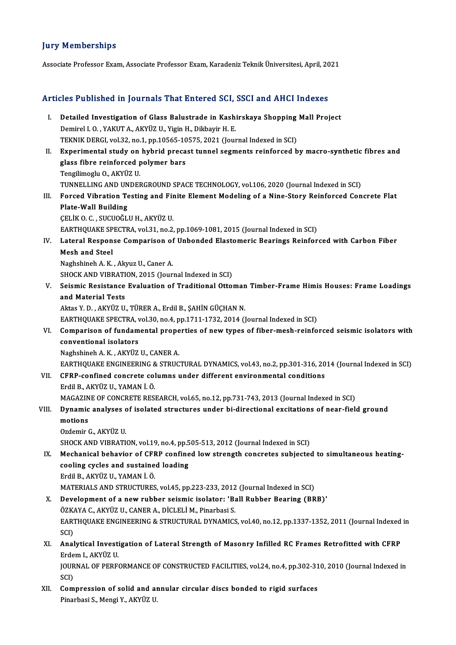### **Jury Memberships**

Associate Professor Exam, Associate Professor Exam, Karadeniz Teknik Üniversitesi, April, 2021

# Associate Professor Exam, Associate Professor Exam, Karadeniz Teknik Universitesi, April, 20<br>Articles Published in Journals That Entered SCI, SSCI and AHCI Indexes

| Articles Published in Journals That Entered SCI, SSCI and AHCI Indexes |                                                                                                                                                |
|------------------------------------------------------------------------|------------------------------------------------------------------------------------------------------------------------------------------------|
| L                                                                      | Detailed Investigation of Glass Balustrade in Kashirskaya Shopping Mall Project<br>Demirel I. O., YAKUT A., AKYÜZ U., Yigin H., Dikbayir H. E. |
|                                                                        | TEKNIK DERGI, vol.32, no.1, pp.10565-10575, 2021 (Journal Indexed in SCI)                                                                      |
| П.                                                                     | Experimental study on hybrid precast tunnel segments reinforced by macro-synthetic fibres and                                                  |
|                                                                        | glass fibre reinforced polymer bars                                                                                                            |
|                                                                        | Tengilimoglu O., AKYÜZ U.                                                                                                                      |
|                                                                        | TUNNELLING AND UNDERGROUND SPACE TECHNOLOGY, vol.106, 2020 (Journal Indexed in SCI)                                                            |
| III.                                                                   | Forced Vibration Testing and Finite Element Modeling of a Nine-Story Reinforced Concrete Flat                                                  |
|                                                                        | <b>Plate-Wall Building</b>                                                                                                                     |
|                                                                        | ÇELİK O.C., SUCUOĞLU H., AKYÜZ U.                                                                                                              |
|                                                                        | EARTHQUAKE SPECTRA, vol.31, no.2, pp.1069-1081, 2015 (Journal Indexed in SCI)                                                                  |
| IV.                                                                    | Lateral Response Comparison of Unbonded Elastomeric Bearings Reinforced with Carbon Fiber                                                      |
|                                                                        | <b>Mesh and Steel</b>                                                                                                                          |
|                                                                        | Naghshineh A K , Akyuz U , Caner A.                                                                                                            |
|                                                                        | SHOCK AND VIBRATION, 2015 (Journal Indexed in SCI)                                                                                             |
| V.                                                                     | Seismic Resistance Evaluation of Traditional Ottoman Timber-Frame Himis Houses: Frame Loadings                                                 |
|                                                                        | and Material Tests                                                                                                                             |
|                                                                        | Aktas Y. D., AKYÜZ U., TÜRER A., Erdil B., ŞAHİN GÜÇHAN N.                                                                                     |
|                                                                        | EARTHQUAKE SPECTRA, vol.30, no.4, pp.1711-1732, 2014 (Journal Indexed in SCI)                                                                  |
| VI.                                                                    | Comparison of fundamental properties of new types of fiber-mesh-reinforced seismic isolators with                                              |
|                                                                        | conventional isolators                                                                                                                         |
|                                                                        | Naghshineh A. K., AKYÜZ U., CANER A.                                                                                                           |
|                                                                        | EARTHQUAKE ENGINEERING & STRUCTURAL DYNAMICS, vol.43, no.2, pp.301-316, 2014 (Journal Indexed in SCI)                                          |
| VII.                                                                   | CFRP-confined concrete columns under different environmental conditions                                                                        |
|                                                                        | Erdil B., AKYÜZ U., YAMAN İ. Ö.                                                                                                                |
|                                                                        | MAGAZINE OF CONCRETE RESEARCH, vol.65, no.12, pp.731-743, 2013 (Journal Indexed in SCI)                                                        |
| VIII.                                                                  | Dynamic analyses of isolated structures under bi-directional excitations of near-field ground                                                  |
|                                                                        | motions                                                                                                                                        |
|                                                                        | Ozdemir G. AKYÜZ U.                                                                                                                            |
|                                                                        | SHOCK AND VIBRATION, vol.19, no.4, pp.505-513, 2012 (Journal Indexed in SCI)                                                                   |
| IX.                                                                    | Mechanical behavior of CFRP confined low strength concretes subjected to simultaneous heating-                                                 |
|                                                                        | cooling cycles and sustained loading                                                                                                           |
|                                                                        | Erdil B., AKYÜZ U., YAMAN İ. Ö.                                                                                                                |
|                                                                        | MATERIALS AND STRUCTURES, vol.45, pp.223-233, 2012 (Journal Indexed in SCI)                                                                    |
| Х.                                                                     | Development of a new rubber seismic isolator: 'Ball Rubber Bearing (BRB)'                                                                      |
|                                                                        | ÖZKAYA C., AKYÜZ U., CANER A., DİCLELİ M., Pinarbasi S.                                                                                        |
|                                                                        | EARTHQUAKE ENGINEERING & STRUCTURAL DYNAMICS, vol.40, no.12, pp.1337-1352, 2011 (Journal Indexed in                                            |
|                                                                        | SCI)                                                                                                                                           |
| XI.                                                                    | Analytical Investigation of Lateral Strength of Masonry Infilled RC Frames Retrofitted with CFRP<br>Erdem I., AKYÜZ U.                         |
|                                                                        | JOURNAL OF PERFORMANCE OF CONSTRUCTED FACILITIES, vol.24, no.4, pp.302-310, 2010 (Journal Indexed in                                           |
|                                                                        | SCI)                                                                                                                                           |
| XII.                                                                   | Compression of solid and annular circular discs bonded to rigid surfaces                                                                       |
|                                                                        | Pinarbasi S., Mengi Y., AKYÜZ U.                                                                                                               |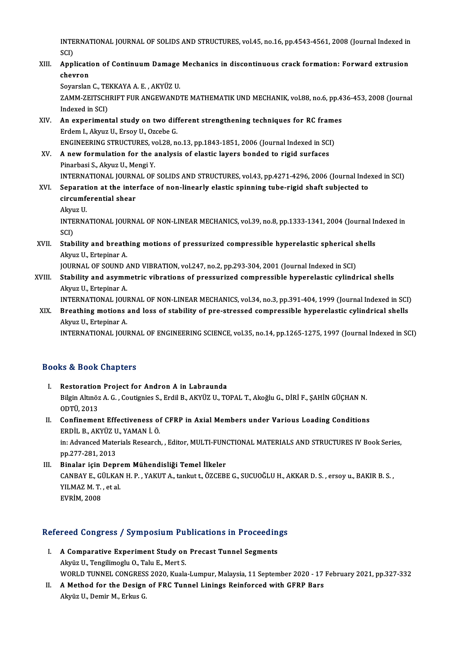INTERNATIONAL JOURNAL OF SOLIDS AND STRUCTURES, vol.45, no.16, pp.4543-4561, 2008 (Journal Indexed in<br>SCD INTE<br>SCI)<br>Annl INTERNATIONAL JOURNAL OF SOLIDS AND STRUCTURES, vol.45, no.16, pp.4543-4561, 2008 (Journal Indexed in<br>SCI)<br>XIII. Application of Continuum Damage Mechanics in discontinuous crack formation: Forward extrusion<br>charren

## SCI)<br>Applicati<br>chevron<br>Severslan Application of Continuum Damage<br>chevron<br>Soyarslan C., TEKKAYA A. E. , AKYÜZ U.<br>ZAMM ZEITSCHPIET EUP ANCEWAND.

chevron<br>Soyarslan C., TEKKAYA A. E. , AKYÜZ U.<br>ZAMM-ZEITSCHRIFT FUR ANGEWANDTE MATHEMATIK UND MECHANIK, vol.88, no.6, pp.436-453, 2008 (Journal Soyarslan C., TE<br>ZAMM-ZEITSCH<br>Indexed in SCI)<br>An experimen ZAMM-ZEITSCHRIFT FUR ANGEWANDTE MATHEMATIK UND MECHANIK, vol.88, no.6, pp.4<br>Indexed in SCI)<br>XIV. An experimental study on two different strengthening techniques for RC frames

- Indexed in SCI)<br>An experimental study on two different strengthening techniques for RC frames<br>Erdem I., Akyuz U., Ersoy U., Ozcebe G. An experimental study on two different strengthening techniques for RC frame<br>Erdem I., Akyuz U., Ersoy U., Ozcebe G.<br>ENGINEERING STRUCTURES, vol.28, no.13, pp.1843-1851, 2006 (Journal Indexed in SCI)<br>A new formulation for
- XV. A new formulation for the analysis of elastic layers bonded to rigid surfaces<br>Pinarbasi S., Akyuz U., Mengi Y. ENGINEERING STRUCTURES, v<br>A new formulation for the a<br>Pinarbasi S., Akyuz U., Mengi Y.<br>INTERNATIONAL JOURNAL OF INTERNATIONAL JOURNAL OF SOLIDS AND STRUCTURES, vol.43, pp.4271-4296, 2006 (Journal Indexed in SCI) Pinarbasi S., Akyuz U., Mengi Y.<br>INTERNATIONAL JOURNAL OF SOLIDS AND STRUCTURES, vol.43, pp.4271-4296, 2006 (Journal Inde<br>XVI. Separation at the interface of non-linearly elastic spinning tube-rigid shaft subjected to<br>cine
- INTERNATIONAL JOURN.<br>Separation at the inter<br>circumferential shear<br>Almuz II Separa<mark>t</mark><br>circumf<br>Akyuz U.<br>INTEDN/ circumferential shear<br>Akyuz U.<br>INTERNATIONAL JOURNAL OF NON-LINEAR MECHANICS, vol.39, no.8, pp.1333-1341, 2004 (Journal Indexed in

Akyu<br>INTE<br>SCI)<br>Stab INTERNATIONAL JOURNAL OF NON-LINEAR MECHANICS, vol.39, no.8, pp.1333-1341, 2004 (Journal In SCI)<br>SCI)<br>XVII. Stability and breathing motions of pressurized compressible hyperelastic spherical shells

SCI)<br>Stability and breath<br>Akyuz U., Ertepinar A.<br>JOUPNAL OF SOUND 4 Stability and breathing motions of pressurized compressible hyperelastic spherical s<br>Akyuz U., Ertepinar A.<br>JOURNAL OF SOUND AND VIBRATION, vol.247, no.2, pp.293-304, 2001 (Journal Indexed in SCI)<br>Stability and asymmetric

JOURNAL OF SOUND AND VIBRATION, vol.247, no.2, pp.293-304, 2001 (Journal Indexed in SCI)

Akyuz U., Ertepinar A.<br>JOURNAL OF SOUND AND VIBRATION, vol.247, no.2, pp.293-304, 2001 (Journal Indexed in SCI)<br>XVIII. Stability and asymmetric vibrations of pressurized compressible hyperelastic cylindrical shells<br>Akyuz U Stability and asymmetric vibrations of pressurized compressible hyperelastic cylindrical shells<br>Akyuz U., Ertepinar A.<br>INTERNATIONAL JOURNAL OF NON-LINEAR MECHANICS, vol.34, no.3, pp.391-404, 1999 (Journal Indexed in SCI)<br>

Akyuz U., Ertepinar A.<br>INTERNATIONAL JOURNAL OF NON-LINEAR MECHANICS, vol.34, no.3, pp.391-404, 1999 (Journal Indexed in SCI)<br>XIX. Breathing motions and loss of stability of pre-stressed compressible hyperelastic cylin INTERNATIONAL JOU<mark>l</mark><br>Breathing motions<br>Akyuz U., Ertepinar A.<br>INTERNATIONAL JOUL XIX. Breathing motions and loss of stability of pre-stressed compressible hyperelastic cylindrical shells<br>Akyuz U., Ertepinar A.<br>INTERNATIONAL JOURNAL OF ENGINEERING SCIENCE, vol.35, no.14, pp.1265-1275, 1997 (Journal Inde

### Books&Book Chapters

- ooks & Book Chapters<br>I. Restoration Project for Andron A in Labraunda<br>Pilgin Altnöz A C. Coutignies S. Erdil B. Aryüz II. TC Bilgin Altınöz A. G. , Coutignies S., Erdil B., AKYÜZ U., TOPAL T., Akoğlu G., DİRİ F., ŞAHİN GÜÇHAN N.<br>ODTÜ. 2013 Restoration<br>Bilgin Altınöz<br>ODTÜ, 2013<br>Confinamer Bilgin Altınöz A. G., Coutignies S., Erdil B., AKYÜZ U., TOPAL T., Akoğlu G., DİRİ F., ŞAHİN GÜÇHAN N.<br>ODTÜ, 2013<br>II. Confinement Effectiveness of CFRP in Axial Members under Various Loading Conditions<br>FRDU B. AKYÜZ II. YA
- ODTÜ, 2013<br>Confinement Effectiveness of<br>ERDİL B., AKYÜZ U., YAMAN İ. Ö.<br>inı Advanced Materials Bessareb in: Advanced Materials Research, , Editor, MULTI-FUNCTIONAL MATERIALS AND STRUCTURES IV Book Series, pp. 277-281, 2013 ERDİL B., AKYÜZ U., YAMAN İ. Ö.
- III. Binalar için Deprem Mühendisliği Temel İlkeler pp.277-281, 2013<br>Binalar için Deprem Mühendisliği Temel İlkeler<br>CANBAY E., GÜLKAN H. P. , YAKUT A., tankut t., ÖZCEBE G., SUCUOĞLU H., AKKAR D. S. , ersoy u., BAKIR B. S. ,<br>YU MAZ M. T. , et al **Binalar için Depre<br>CANBAY E., GÜLKAN<br>YILMAZ M. T. , et al.<br>EVRİM 2009** CANBAY E., GI<br>YILMAZ M. T.<br>EVRİM, 2008

# EVRIM, 2008<br>Refereed Congress / Symposium Publications in Proceedings

- efereed Congress / Symposium Publications in Proceedin<br>I. A Comparative Experiment Study on Precast Tunnel Segments I. A Comparative Experiment Study on Precast Tunnel Segments<br>Akyüz U., Tengilimoglu O., Talu E., Mert S. WORLD TUNNEL CONGRESS 2020, Kuala-Lumpur, Malaysia, 11 September 2020 - 17 February 2021, pp.327-332 Akyüz U., Tengilimoglu O., Talu E., Mert S.<br>WORLD TUNNEL CONGRESS 2020, Kuala-Lumpur, Malaysia, 11 September 2020 - 17<br>II. A Method for the Design of FRC Tunnel Linings Reinforced with GFRP Bars
- WORLD TUNNEL CONGRESS<br><mark>A Method for the Design</mark><br>Akyüz U., Demir M., Erkus G.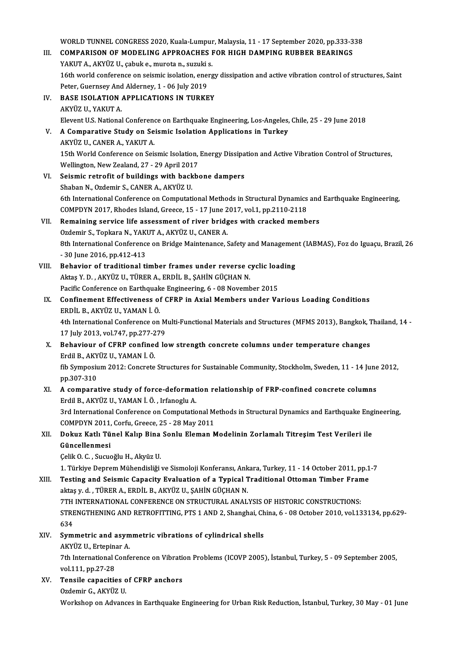WORLD TUNNEL CONGRESS 2020, Kuala-Lumpur, Malaysia, 11 - 17 September 2020, pp.333-338<br>COMPARISON OF MODELING ARRROAGUES FOR HIGH DAMPING RURRER REARINGS

WORLD TUNNEL CONGRESS 2020, Kuala-Lumpur, Malaysia, 11 - 17 September 2020, pp.333-3<br>III. COMPARISON OF MODELING APPROACHES FOR HIGH DAMPING RUBBER BEARINGS WORLD TUNNEL CONGRESS 2020, Kuala-Lumpur<br>COMPARISON OF MODELING APPROACHES I<br>YAKUT A., AKYÜZ U., çabuk e., murota n., suzuki s.<br>16th uvarld sanfaranse an saismis isolation, anars 111. COMPARISON OF MODELING APPROACHES FOR HIGH DAMPING RUBBER BEARINGS<br>YAKUT A., AKYÜZ U., çabuk e., murota n., suzuki s.<br>16th world conference on seismic isolation, energy dissipation and active vibration control of stru YAKUT A., AKYÜZ U., cabuk e., murota n., suzuki s. 16th world conference on seismic isolation, energy<br>Peter, Guernsey And Alderney, 1 - 06 July 2019<br>IV. BASE ISOLATION APPLICATIONS IN TURKEY Peter, Guernsey And<br>**BASE ISOLATION**<br>AKYÜZ U., YAKUT A.<br>Elevent U.S. National AKYÜZ U., YAKUT A.<br>Elevent U.S. National Conference on Earthquake Engineering, Los-Angeles, Chile, 25 - 29 June 2018 AKYÜZ U., YAKUT A.<br>Elevent U.S. National Conference on Earthquake Engineering, Los-Angeles,<br>V. A Comparative Study on Seismic Isolation Applications in Turkey Elevent U.S. National Conference<br>**A Comparative Study on Se**<br>AKYÜZ U., CANER A., YAKUT A.<br>15th World Conference on Seit A Comparative Study on Seismic Isolation Applications in Turkey<br>AKYÜZ U., CANER A., YAKUT A.<br>15th World Conference on Seismic Isolation, Energy Dissipation and Active Vibration Control of Structures,<br>Wellington New Zeeland AKYÜZ U., CANER A., YAKUT A.<br>15th World Conference on Seismic Isolation,<br>Wellington, New Zealand, 27 - 29 April 2017<br>Seismie netrofit of buildings with boskb 15th World Conference on Seismic Isolation, Energy Dissipa<br>Wellington, New Zealand, 27 - 29 April 2017<br>VI. Seismic retrofit of buildings with backbone dampers<br>Shaban N. Ordamin S. GANER A. AKVÜZ U. Wellington, New Zealand, 27 - 29 April 2017<br>VI. Seismic retrofit of buildings with backbone dampers<br>Shaban N., Ozdemir S., CANER A., AKYÜZ U. 6th International Conference on Computational Methods in Structural Dynamics and Earthquake Engineering, Shaban N., Ozdemir S., CANER A., AKYÜZ U.<br>6th International Conference on Computational Methods in Structural Dynamics<br>COMPDYN 2017, Rhodes Island, Greece, 15 - 17 June 2017, vol.1, pp.2110-2118<br>Remaining seguies life asse VII. Remaining service life assessment of river bridges with cracked members Ozdemir S., Topkara N., YAKUT A., AKYÜZ U., CANER A. COMPDYN 2017, Rhodes Island, Greece, 15 - 17 June 2<br>Remaining service life assessment of river bridg<br>Ozdemir S., Topkara N., YAKUT A., AKYÜZ U., CANER A. Remaining service life assessment of river bridges with cracked members<br>Ozdemir S., Topkara N., YAKUT A., AKYÜZ U., CANER A.<br>8th International Conference on Bridge Maintenance, Safety and Management (IABMAS), Foz do Iguaçu Ozdemir S., Topkara N., YAK<br>8th International Conference<br>- 30 June 2016, pp.412-413<br>Behavion of traditional ti 8th International Conference on Bridge Maintenance, Safety and Managemer<br>- 30 June 2016, pp.412-413<br>VIII. Behavior of traditional timber frames under reverse cyclic loading<br>Altre V.D. Akvilz U. Tüpep A. eppit P. SAHIN CÜCH - 30 June 2016, pp.412-413<br>Behavior of traditional timber frames under reverse c<br>Aktaş Y. D. , AKYÜZ U., TÜRER A., ERDİL B., ŞAHİN GÜÇHAN N.<br>Pasifis Conference en Farthaueks Engineering 6 - 08 Nevemb Behavior of traditional timber frames under reverse cyclic loa<br>Aktaş Y. D. , AKYÜZ U., TÜRER A., ERDİL B., ŞAHİN GÜÇHAN N.<br>Pacific Conference on Earthquake Engineering, 6 - 08 November 2015<br>Confinement Effectiveness of CEP Aktaş Y. D. , AKYÜZ U., TÜRER A., ERDİL B., ŞAHİN GÜÇHAN N.<br>Pacific Conference on Earthquake Engineering, 6 - 08 November 2015<br>IX. Confinement Effectiveness of CFRP in Axial Members under Various Loading Conditions<br>ERDİL B Pacific Conference on Earthquak<br>Confinement Effectiveness of<br>ERDİL B., AKYÜZ U., YAMAN İ. Ö.<br>4th International Conference on Confinement Effectiveness of CFRP in Axial Members under Various Loading Conditions<br>ERDİL B., AKYÜZ U., YAMAN İ. Ö.<br>4th International Conference on Multi-Functional Materials and Structures (MFMS 2013), Bangkok, Thailand, ERDİL B., AKYÜZ U., YAMAN İ. Ö.<br>4th International Conference on M<br>17 July 2013, vol.747, pp.277-279<br>Behaviour of GEBB confined lo 17 July 2013, vol.747, pp.277-279<br>X. Behaviour of CFRP confined low strength concrete columns under temperature changes 17 July 2013, vol.747, pp.277-2<br>**Behaviour of CFRP confine**<br>Erdil B., AKYÜZ U., YAMAN İ. Ö.<br><sup>Eh</sup> Sumnesium 2012: Constate fib Symposium 2012: Concrete Structures for Sustainable Community, Stockholm, Sweden, 11 - 14 June 2012, pp.307-310 Erdil B., AKY<br>fib Symposiu<br>pp.307-310<br>A compone: fib Symposium 2012: Concrete Structures for Sustainable Community, Stockholm, Sweden, 11 - 14 June<br>pp.307-310<br>XI. A comparative study of force-deformation relationship of FRP-confined concrete columns<br>Frdil P. AKVÜZ II, YA pp.307-310<br>A comparative study of force-deformat<br>Erdil B., AKYÜZ U., YAMAN İ. Ö. , Irfanoglu A.<br><sup>2nd Intornational Conference on Computatio</sup> A comparative study of force-deformation relationship of FRP-confined concrete columns<br>Erdil B., AKYÜZ U., YAMAN İ. Ö. , Irfanoglu A.<br>3rd International Conference on Computational Methods in Structural Dynamics and Earthqu Erdil B., AKYÜZ U., YAMAN İ. Ö. , Irfanoglu A.<br>3rd International Conference on Computational Methods in Structural Dynamics and Earthquake Engineering, XII. Dokuz Katlı Tünel Kalıp Bina Sonlu Eleman Modelinin Zorlamalı Titreşim Test Verileri ile<br>Güncellenmesi COMPDYN 2011, Corfu, Greece, 25 - 28 May 2011 Çelik O.C., Sucuoğlu H., Akyüz U. Güncellenmesi<br>Çelik O. C. , Sucuoğlu H., Akyüz U.<br>1. Türkiye Deprem Mühendisliği ve Sismoloji Konferansı, Ankara, Turkey, 11 - 14 October 2011, pp.1-7<br>Testing and Seismis Canasity Evaluation of a Tynisal Traditional Ottoma Celik O. C. , Sucuoğlu H., Akyüz U.<br>1. Türkiye Deprem Mühendisliği ve Sismoloji Konferansı, Ankara, Turkey, 11 - 14 October 2011, pp.1<br>XIII. Testing and Seismic Capacity Evaluation of a Typical Traditional Ottoman Timb aktaş y. d. , TÜRER A., ERDİL B., AKYÜZ U., ŞAHİN GÜÇHAN N.<br>7TH INTERNATIONAL CONFERENCE ON STRUCTURAL ANALYSIS OF HISTORIC CONSTRUCTIONS: Testing and Seismic Capacity Evaluation of a Typical Traditional Ottoman Timber Frame aktaş y. d. , TÜRER A., ERDİL B., AKYÜZ U., ŞAHİN GÜÇHAN N.<br>7TH INTERNATIONAL CONFERENCE ON STRUCTURAL ANALYSIS OF HISTORIC CONSTRUCTIONS:<br>STRENGTHENING AND RETROFITTING, PTS 1 AND 2, Shanghai, China, 6 - 08 October 2010, 7TH<br>STRE<br>634<br>Sum STRENGTHENING AND RETROFITTING, PTS 1 AND 2, Shanghai, Ch<br>634<br>XIV. Symmetric and asymmetric vibrations of cylindrical shells<br>AEVITT IL Exteninan A 634<br>Symmetric and asymmetric vibrations of cylindrical shells<br>AKYÜZ U., Ertepinar A. Symmetric and asymmetric vibrations of cylindrical shells<br>AKYÜZ U., Ertepinar A.<br>7th International Conference on Vibration Problems (ICOVP 2005), İstanbul, Turkey, 5 - 09 September 2005,<br>vel 111, pp.27.28 AKYÜZ U., Ertepina<br>7th International (<br>vol.111, pp.27-28<br>Tonsile canositic 7th International Conference on Vibration<br>vol.111, pp.27-28<br>XV. Tensile capacities of CFRP anchors<br>Ordemin C. AKVUZ U vol.111, pp.27-28<br>XV. Tensile capacities of CFRP anchors<br>Ozdemir G., AKYÜZU.

Workshop on Advances in Earthquake Engineering for Urban Risk Reduction, İstanbul, Turkey, 30 May - 01 June